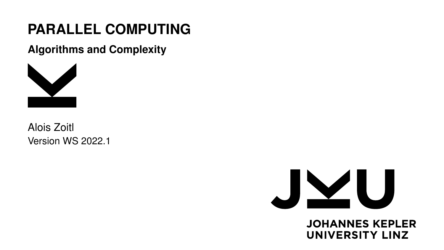# **PARALLEL COMPUTING**

**Algorithms and Complexity**



Alois Zoitl Version WS 2022.1



**JOHANNES KEPLER UNIVERSITY LINZ**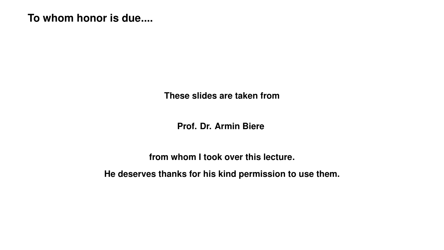# **To whom honor is due....**

**These slides are taken from**

**Prof. Dr. Armin Biere**

**from whom I took over this lecture.**

**He deserves thanks for his kind permission to use them.**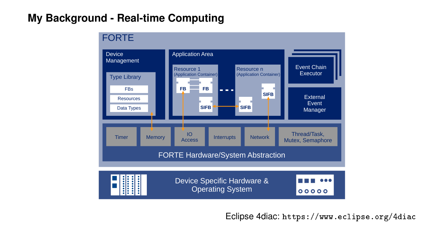# **My Background - Real-time Computing**



Eclipse 4diac: <https://www.eclipse.org/4diac>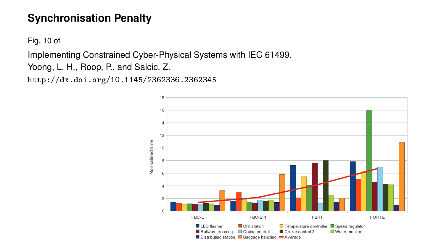# **Synchronisation Penalty**

Fig. 10 of

Implementing Constrained Cyber-Physical Systems with IEC 61499.

Yoong, L. H., Roop, P., and Salcic, Z.

<http://dx.doi.org/10.1145/2362336.2362345>

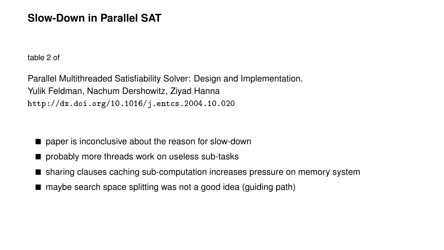#### **Slow-Down in Parallel SAT**

table 2 of

Parallel Multithreaded Satisfiability Solver: Design and Implementation. Yulik Feldman, Nachum Dershowitz, Ziyad Hanna <http://dx.doi.org/10.1016/j.entcs.2004.10.020>

- paper is inconclusive about the reason for slow-down
- probably more threads work on useless sub-tasks
- sharing clauses caching sub-computation increases pressure on memory system
- maybe search space splitting was not a good idea (guiding path)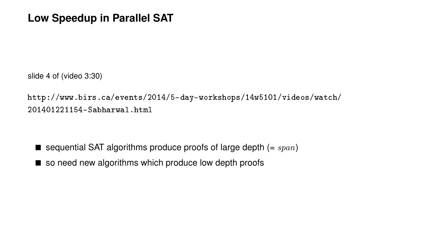#### **Low Speedup in Parallel SAT**

slide 4 of (video 3:30)

[http://www.birs.ca/events/2014/5-day-workshops/14w5101/videos/watch/](http://www.birs.ca/events/2014/5-day-workshops/14w5101/videos/watch/201401221154-Sabharwal.html) [201401221154-Sabharwal.html](http://www.birs.ca/events/2014/5-day-workshops/14w5101/videos/watch/201401221154-Sabharwal.html)

 $\blacksquare$  sequential SAT algorithms produce proofs of large depth (= span)

■ so need new algorithms which produce low depth proofs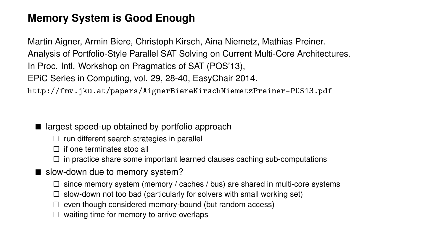# **Memory System is Good Enough**

Martin Aigner, Armin Biere, Christoph Kirsch, Aina Niemetz, Mathias Preiner. Analysis of Portfolio-Style Parallel SAT Solving on Current Multi-Core Architectures. In Proc. Intl. Workshop on Pragmatics of SAT (POS'13), EPiC Series in Computing, vol. 29, 28-40, EasyChair 2014. <http://fmv.jku.at/papers/AignerBiereKirschNiemetzPreiner-POS13.pdf>

- largest speed-up obtained by portfolio approach
	- $\Box$  run different search strategies in parallel
	- $\Box$  if one terminates stop all
	- $\square$  in practice share some important learned clauses caching sub-computations
- slow-down due to memory system?
	- $\square$  since memory system (memory / caches / bus) are shared in multi-core systems
	- $\Box$  slow-down not too bad (particularly for solvers with small working set)
	- $\Box$  even though considered memory-bound (but random access)
	- $\Box$  waiting time for memory to arrive overlaps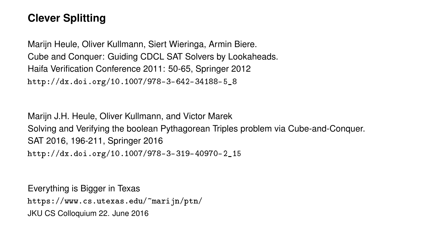# **Clever Splitting**

Marijn Heule, Oliver Kullmann, Siert Wieringa, Armin Biere. Cube and Conquer: Guiding CDCL SAT Solvers by Lookaheads. Haifa Verification Conference 2011: 50-65, Springer 2012 [http://dx.doi.org/10.1007/978-3-642-34188-5\\_8](http://dx.doi.org/10.1007/978-3-642-34188-5_8)

Marijn J.H. Heule, Oliver Kullmann, and Victor Marek Solving and Verifying the boolean Pythagorean Triples problem via Cube-and-Conquer. SAT 2016, 196-211, Springer 2016 [http://dx.doi.org/10.1007/978-3-319-40970-2\\_15](http://dx.doi.org/10.1007/978-3-319-40970-2_15)

Everything is Bigger in Texas <https://www.cs.utexas.edu/~marijn/ptn/> JKU CS Colloquium 22. June 2016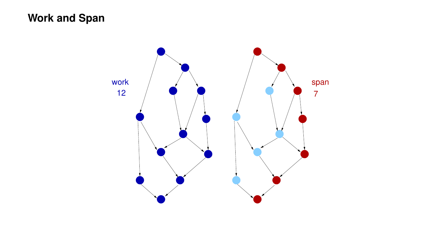# **Work and Span**

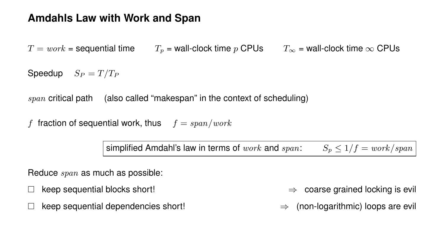### **Amdahls Law with Work and Span**

 $T = work =$  sequential time  $T_p =$  wall-clock time p CPUs  $T_{\infty} =$  wall-clock time  $\infty$  CPUs

Speedup  $S_P = T/T_P$ 

span critical path (also called "makespan" in the context of scheduling)

f fraction of sequential work, thus  $f = span/work$ 

simplified Amdahl's law in terms of work and span:  $S_n \leq 1/f = \frac{work}{span}$ 

Reduce span as much as possible:

 $\text{keep sequential dependencies short!}$   $\Rightarrow$  (non-logarithmic) loops are evil

 $\lambda$  keep sequential blocks short!  $\Rightarrow$  coarse grained locking is evil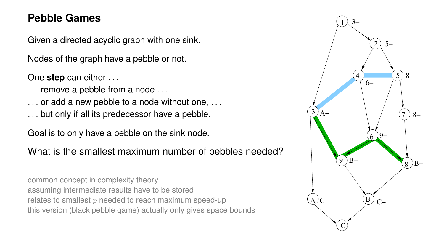#### **Pebble Games**

Given a directed acyclic graph with one sink.

Nodes of the graph have a pebble or not.

One **step** can either . . .

- ... remove a pebble from a node ...
- . . . or add a new pebble to a node without one, . . .
- . . . but only if all its predecessor have a pebble.

Goal is to only have a pebble on the sink node.

What is the smallest maximum number of pebbles needed?

common concept in complexity theory assuming intermediate results have to be stored relates to smallest  $p$  needed to reach maximum speed-up this version (black pebble game) actually only gives space bounds

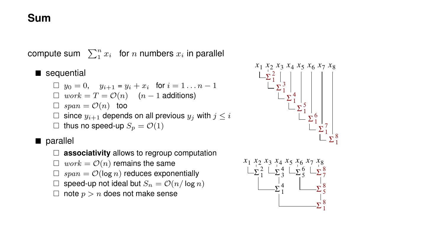# **Sum**

compute sum  $\sum_1^n x_i$  for  $n$  numbers  $x_i$  in parallel

■ sequential

$$
\Box \ y_0 = 0, \quad y_{i+1} = y_i + x_i \quad \text{for } i = 1 \dots n-1
$$
\n
$$
\Box \ work = T = \mathcal{O}(n) \quad (n-1 \text{ additions})
$$
\n
$$
\Box \ span = \mathcal{O}(n) \quad \text{too}
$$
\n
$$
\Box \ \text{since } y_{i+1} \text{ depends on all previous } y_j \text{ with } j \leq i
$$
\n
$$
\Box \ \text{thus no speed-up } S_p = \mathcal{O}(1)
$$

#### ■ parallel

- □ **associativity** allows to regroup computation
- $\Box$  work =  $\mathcal{O}(n)$  remains the same
- $\Box$  span =  $\mathcal{O}(\log n)$  reduces exponentially
- $\Box$  speed-up not ideal but  $S_n = \mathcal{O}(n/\log n)$
- $\Box$  note  $p > n$  does not make sense



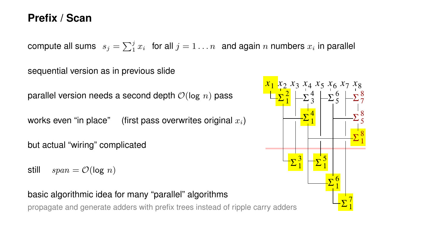#### **Prefix / Scan**

compute all sums  $s_j = \sum_1^j x_i$  for all  $j = 1 \ldots n$  and again  $n$  numbers  $x_i$  in parallel

sequential version as in previous slide

parallel version needs a second depth  $\mathcal{O}(\log n)$  pass

works even "in place" (first pass overwrites original  $x_i$ )

but actual "wiring" complicated

still  $span = \mathcal{O}(\log n)$ 

#### basic algorithmic idea for many "parallel" algorithms

propagate and generate adders with prefix trees instead of ripple carry adders

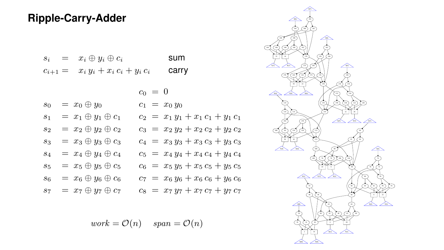# **Ripple-Carry-Adder**

| $S_i$<br>=  | $x_i \oplus y_i \oplus c_i$   | sum   |
|-------------|-------------------------------|-------|
| $c_{i+1} =$ | $x_i y_i + x_i c_i + y_i c_i$ | carry |

|  |                                   | $c_0 = 0$                           | z |
|--|-----------------------------------|-------------------------------------|---|
|  | $s_0 = x_0 \oplus y_0$            | $c_1 = x_0 y_0$                     |   |
|  | $s_1 = x_1 \oplus y_1 \oplus c_1$ | $c_2 = x_1 y_1 + x_1 c_1 + y_1 c_1$ |   |
|  | $s_2 = x_2 \oplus y_2 \oplus c_2$ | $c_3 = x_2 y_2 + x_2 c_2 + y_2 c_2$ |   |
|  | $s_3 = x_3 \oplus y_3 \oplus c_3$ | $c_4 = x_3 y_3 + x_3 c_3 + y_3 c_3$ |   |
|  | $s_4 = x_4 \oplus y_4 \oplus c_4$ | $c_5 = x_4 y_4 + x_4 c_4 + y_4 c_4$ |   |
|  | $s_5 = x_5 \oplus y_5 \oplus c_5$ | $c_6 = x_5 y_5 + x_5 c_5 + y_5 c_5$ |   |
|  | $s_6 = x_6 \oplus y_6 \oplus c_6$ | $c_7 = x_6 y_6 + x_6 c_6 + y_6 c_6$ |   |
|  | $s_7 = x_7 \oplus y_7 \oplus c_7$ | $c_8 = x_7 y_7 + x_7 c_7 + y_7 c_7$ |   |
|  |                                   |                                     |   |

 $work = \mathcal{O}(n)$  span =  $\mathcal{O}(n)$ 

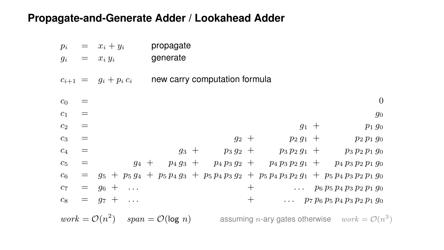### **Propagate-and-Generate Adder / Lookahead Adder**

| $p_i$          | $=$             | $x_i + y_i$               | propagate                     |         |      |                           |                                                                                                     |
|----------------|-----------------|---------------------------|-------------------------------|---------|------|---------------------------|-----------------------------------------------------------------------------------------------------|
| $g_i$          |                 | $= x_i y_i$               | generate                      |         |      |                           |                                                                                                     |
|                |                 | $c_{i+1} = g_i + p_i c_i$ | new carry computation formula |         |      |                           |                                                                                                     |
| $c_0$          |                 |                           |                               |         |      |                           | $\theta$                                                                                            |
| c <sub>1</sub> | $\!\!\!=\!\!\!$ |                           |                               |         |      |                           | $g_0$                                                                                               |
| c <sub>2</sub> | $\!\!\!=\!\!\!$ |                           |                               |         |      | $g_1$ +                   | $p_1 g_0$                                                                                           |
| $c_3$          | $\!\!\!=\!\!\!$ |                           |                               | $g_2$ + |      | $p_2 g_1 +$               | $p_2 p_1 g_0$                                                                                       |
| $c_4$          | $=$             |                           | $g_3$ +                       |         |      | $p_3 g_2 + p_3 p_2 g_1 +$ | $p_3 p_2 p_1 g_0$                                                                                   |
| $c_5$          | $\!\!\!=\!\!\!$ |                           |                               |         |      |                           | $g_4 + p_4 g_3 + p_4 p_3 g_2 + p_4 p_3 p_2 g_1 + p_4 p_3 p_2 p_1 g_0$                               |
| $c_6$          |                 |                           |                               |         |      |                           | $=$ $g_5 + p_5 g_4 + p_5 p_4 g_3 + p_5 p_4 p_3 g_2 + p_5 p_4 p_3 p_2 g_1 + p_5 p_4 p_3 p_2 p_1 g_0$ |
| $c_7$          | $=$             | $g_6 + \ldots$            |                               |         | $^+$ |                           | $\ldots$ $p_6 p_5 p_4 p_3 p_2 p_1 q_0$                                                              |
| $c_8$          |                 | $= q_7 +$<br>$\sim$       |                               |         | $^+$ |                           | $\ldots$ $p_7 p_6 p_5 p_4 p_3 p_2 p_1 g_0$                                                          |
|                |                 |                           |                               |         |      |                           |                                                                                                     |

 $work = \mathcal{O}(n^2)$   $span = \mathcal{O}(\log n)$  assuming *n*-ary gates otherwise  $work = \mathcal{O}(n^3)$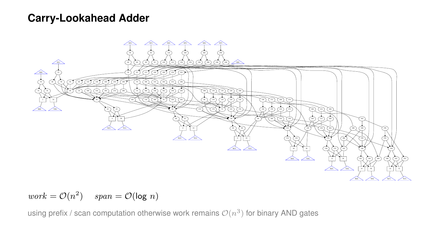#### **Carry-Lookahead Adder**



 $work = \mathcal{O}(n^2)$   $span = \mathcal{O}(\log n)$ 

using prefix / scan computation otherwise work remains  $\mathcal{O}(n^3)$  for binary AND gates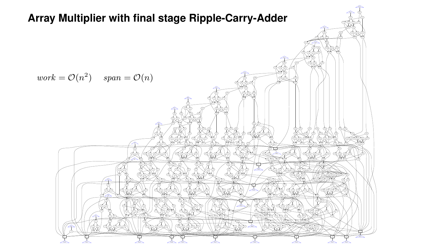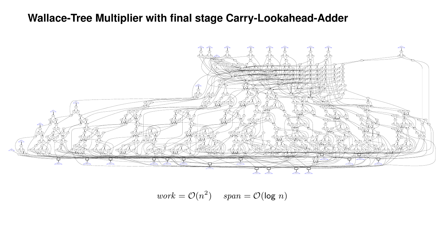# **Wallace-Tree Multiplier with final stage Carry-Lookahead-Adder**



$$
work = \mathcal{O}(n^2) \quad span = \mathcal{O}(\log n)
$$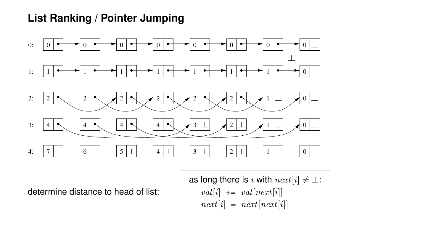# **List Ranking / Pointer Jumping**



determine distance to head of list:

as long there is i with  $next[i] \neq \bot$ :  $val[i]$  +=  $val[next[i]]$  $next[i] = next[next[i]]$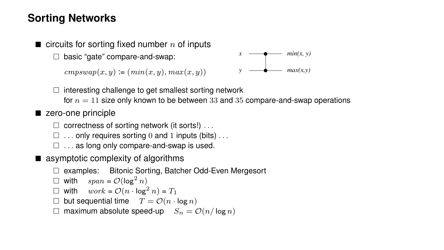# **Sorting Networks**

 $\blacksquare$  circuits for sorting fixed number n of inputs

□ basic "gate" compare-and-swap:

 $cmpswap(x, y) := (min(x, y), max(x, y))$ 



 $\Box$  interesting challenge to get smallest sorting network

for  $n = 11$  size only known to be between 33 and 35 compare-and-swap operations

#### ■ zero-one principle

- $\Box$  correctness of sorting network (it sorts!)  $\dots$
- $\Box$  ... only requires sorting 0 and 1 inputs (bits)...
- $\Box$ ... as long only compare-and-swap is used.
- asymptotic complexity of algorithms
	- □ examples: Bitonic Sorting, Batcher Odd-Even Mergesort
	- $\Box$  with  $span = \mathcal{O}(\log^2 n)$
	- $\Box$  with  $work = \mathcal{O}(n \cdot \log^2 n) = T_1$
	- $\Box$  but sequential time  $T = \mathcal{O}(n \cdot \log n)$
	- $\Box$  maximum absolute speed-up  $S_n = \mathcal{O}(n/\log n)$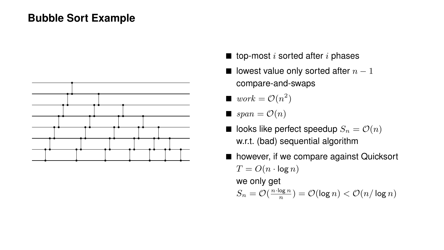## **Bubble Sort Example**



- $\blacksquare$  top-most *i* sorted after *i* phases
- lowest value only sorted after  $n-1$ compare-and-swaps
- $\bullet$  work =  $\mathcal{O}(n^2)$
- $\Box$  span =  $\mathcal{O}(n)$
- $\blacksquare$  looks like perfect speedup  $S_n = \mathcal{O}(n)$ w.r.t. (bad) sequential algorithm
- however, if we compare against Quicksort  $T = O(n \cdot \log n)$ we only get  $S_n = \mathcal{O}(\frac{n \cdot \log n}{n}) = \mathcal{O}(\log n) < \mathcal{O}(n/\log n)$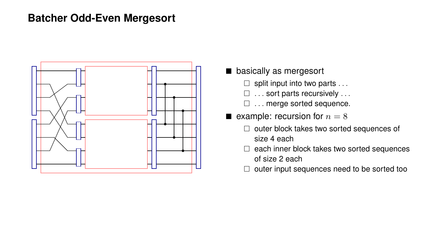#### **Batcher Odd-Even Mergesort**



- basically as mergesort
	- $\Box$  split input into two parts ...
	- □ ... sort parts recursively ...
	- □ ... merge sorted sequence.
- $\blacksquare$  example: recursion for  $n = 8$ 
	- □ outer block takes two sorted sequences of size 4 each
	- $\Box$  each inner block takes two sorted sequences of size 2 each
	- $\Box$  outer input sequences need to be sorted too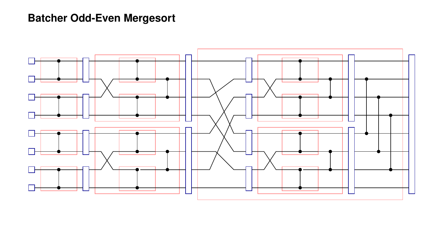# **Batcher Odd-Even Mergesort**

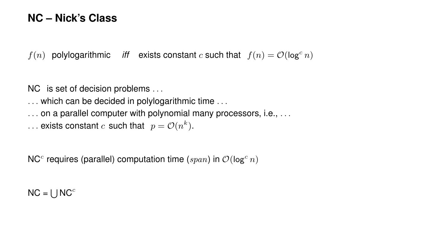#### **NC – Nick's Class**

 $f(n)$  polylogarithmic *iff* exists constant c such that  $f(n) = \mathcal{O}(\log^c n)$ 

NC is set of decision problems ...

... which can be decided in polylogarithmic time ...

... on a parallel computer with polynomial many processors, i.e., ...

... exists constant  $c$  such that  $p = \mathcal{O}(n^k)$ .

NC<sup>c</sup> requires (parallel) computation time (span) in  $\mathcal{O}(\log^c n)$ 

 $NC = \bigcup NC^c$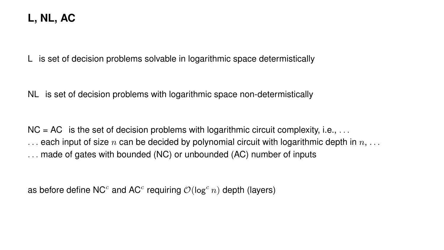# **L, NL, AC**

L is set of decision problems solvable in logarithmic space determistically

NL is set of decision problems with logarithmic space non-determistically

 $NC = AC$  is the set of decision problems with logarithmic circuit complexity, i.e., ...  $\ldots$  each input of size n can be decided by polynomial circuit with logarithmic depth in  $n, \ldots$ . . . made of gates with bounded (NC) or unbounded (AC) number of inputs

as before define NC<sup>c</sup> and AC<sup>c</sup> requiring  $\mathcal{O}(\log^c n)$  depth (layers)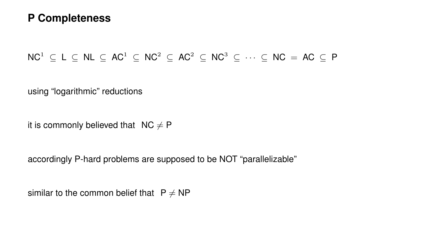#### **P Completeness**

 $NC^1 \subset L \subset NL \subset AC^1 \subset NC^2 \subset AC^2 \subset NC^3 \subset \cdots \subset NC = AC \subset P$ 

using "logarithmic" reductions

it is commonly believed that  $NC \neq P$ 

accordingly P-hard problems are supposed to be NOT "parallelizable"

similar to the common belief that  $P \neq NP$